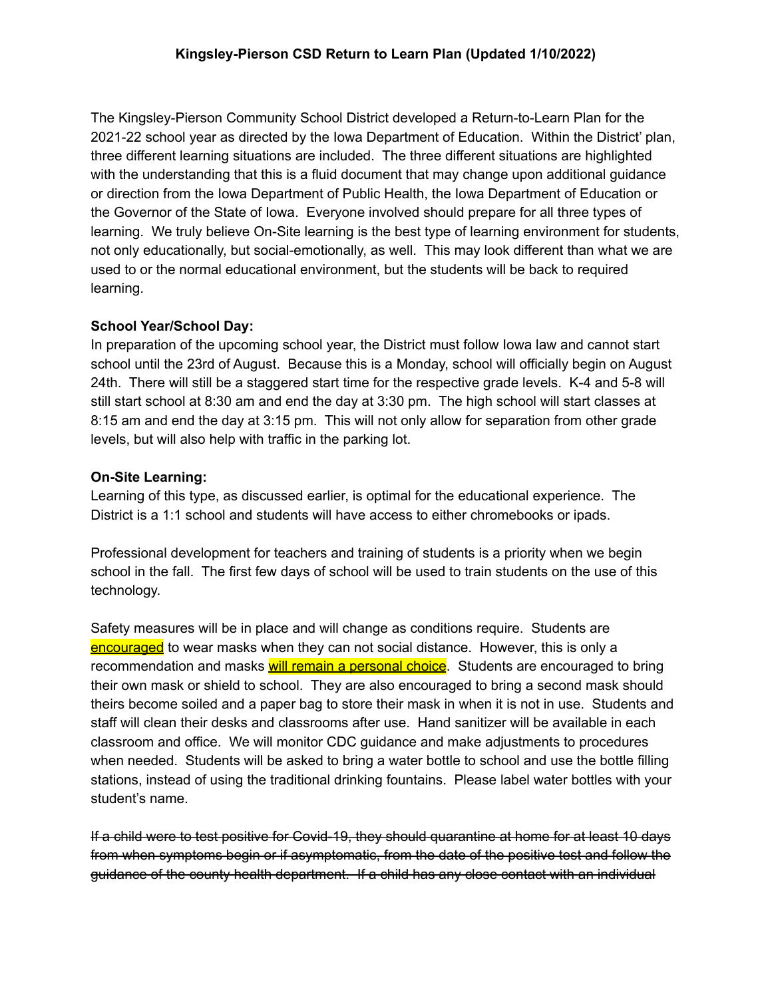The Kingsley-Pierson Community School District developed a Return-to-Learn Plan for the 2021-22 school year as directed by the Iowa Department of Education. Within the District' plan, three different learning situations are included. The three different situations are highlighted with the understanding that this is a fluid document that may change upon additional guidance or direction from the Iowa Department of Public Health, the Iowa Department of Education or the Governor of the State of Iowa. Everyone involved should prepare for all three types of learning. We truly believe On-Site learning is the best type of learning environment for students, not only educationally, but social-emotionally, as well. This may look different than what we are used to or the normal educational environment, but the students will be back to required learning.

# **School Year/School Day:**

In preparation of the upcoming school year, the District must follow Iowa law and cannot start school until the 23rd of August. Because this is a Monday, school will officially begin on August 24th. There will still be a staggered start time for the respective grade levels. K-4 and 5-8 will still start school at 8:30 am and end the day at 3:30 pm. The high school will start classes at 8:15 am and end the day at 3:15 pm. This will not only allow for separation from other grade levels, but will also help with traffic in the parking lot.

# **On-Site Learning:**

Learning of this type, as discussed earlier, is optimal for the educational experience. The District is a 1:1 school and students will have access to either chromebooks or ipads.

Professional development for teachers and training of students is a priority when we begin school in the fall. The first few days of school will be used to train students on the use of this technology.

Safety measures will be in place and will change as conditions require. Students are encouraged to wear masks when they can not social distance. However, this is only a recommendation and masks will remain a personal choice. Students are encouraged to bring their own mask or shield to school. They are also encouraged to bring a second mask should theirs become soiled and a paper bag to store their mask in when it is not in use. Students and staff will clean their desks and classrooms after use. Hand sanitizer will be available in each classroom and office. We will monitor CDC guidance and make adjustments to procedures when needed. Students will be asked to bring a water bottle to school and use the bottle filling stations, instead of using the traditional drinking fountains. Please label water bottles with your student's name.

If a child were to test positive for Covid-19, they should quarantine at home for at least 10 days from when symptoms begin or if asymptomatic, from the date of the positive test and follow the guidance of the county health department. If a child has any close contact with an individual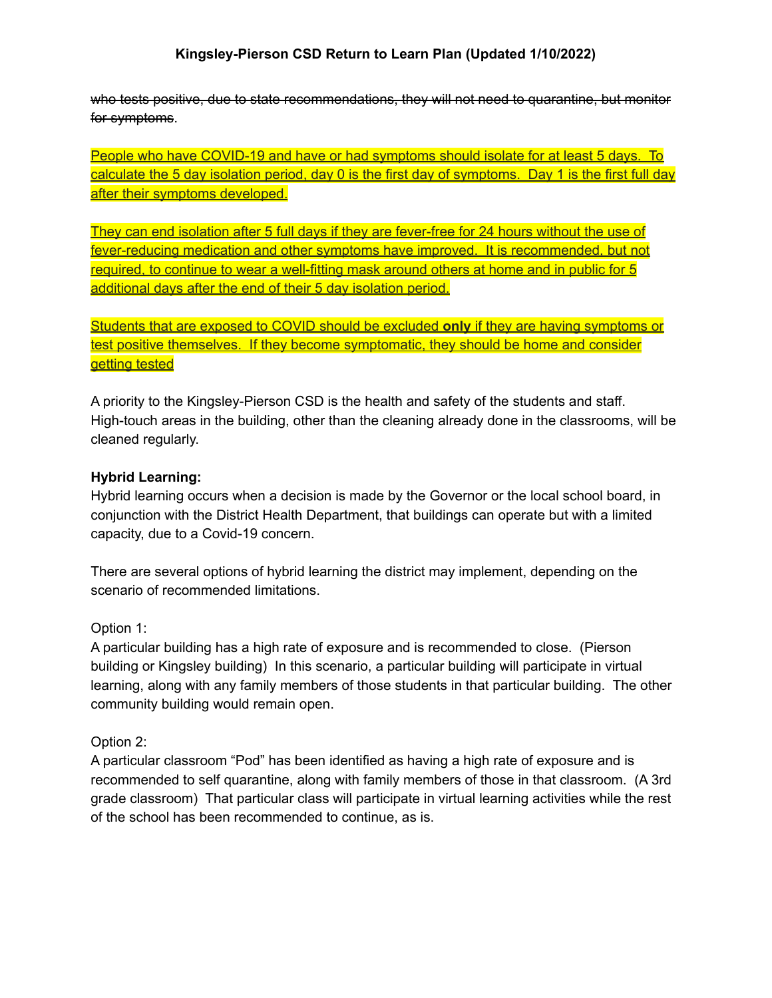### **Kingsley-Pierson CSD Return to Learn Plan (Updated 1/10/2022)**

who tests positive, due to state recommendations, they will not need to quarantine, but monitor for symptoms.

People who have COVID-19 and have or had symptoms should isolate for at least 5 days. To calculate the 5 day isolation period, day 0 is the first day of symptoms. Day 1 is the first full day after their symptoms developed.

They can end isolation after 5 full days if they are fever-free for 24 hours without the use of fever-reducing medication and other symptoms have improved. It is recommended, but not required, to continue to wear a well-fitting mask around others at home and in public for 5 additional days after the end of their 5 day isolation period.

Students that are exposed to COVID should be excluded **only** if they are having symptoms or test positive themselves. If they become symptomatic, they should be home and consider getting tested

A priority to the Kingsley-Pierson CSD is the health and safety of the students and staff. High-touch areas in the building, other than the cleaning already done in the classrooms, will be cleaned regularly.

### **Hybrid Learning:**

Hybrid learning occurs when a decision is made by the Governor or the local school board, in conjunction with the District Health Department, that buildings can operate but with a limited capacity, due to a Covid-19 concern.

There are several options of hybrid learning the district may implement, depending on the scenario of recommended limitations.

### Option 1:

A particular building has a high rate of exposure and is recommended to close. (Pierson building or Kingsley building) In this scenario, a particular building will participate in virtual learning, along with any family members of those students in that particular building. The other community building would remain open.

### Option 2:

A particular classroom "Pod" has been identified as having a high rate of exposure and is recommended to self quarantine, along with family members of those in that classroom. (A 3rd grade classroom) That particular class will participate in virtual learning activities while the rest of the school has been recommended to continue, as is.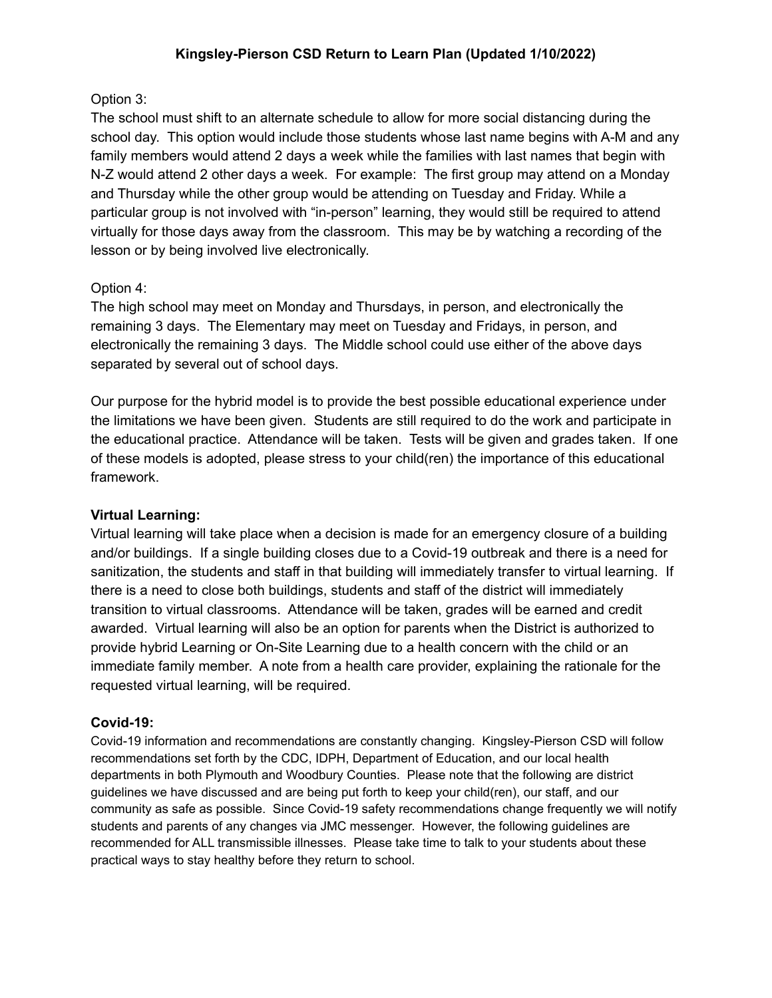## Option 3:

The school must shift to an alternate schedule to allow for more social distancing during the school day. This option would include those students whose last name begins with A-M and any family members would attend 2 days a week while the families with last names that begin with N-Z would attend 2 other days a week. For example: The first group may attend on a Monday and Thursday while the other group would be attending on Tuesday and Friday. While a particular group is not involved with "in-person" learning, they would still be required to attend virtually for those days away from the classroom. This may be by watching a recording of the lesson or by being involved live electronically.

# Option 4:

The high school may meet on Monday and Thursdays, in person, and electronically the remaining 3 days. The Elementary may meet on Tuesday and Fridays, in person, and electronically the remaining 3 days. The Middle school could use either of the above days separated by several out of school days.

Our purpose for the hybrid model is to provide the best possible educational experience under the limitations we have been given. Students are still required to do the work and participate in the educational practice. Attendance will be taken. Tests will be given and grades taken. If one of these models is adopted, please stress to your child(ren) the importance of this educational framework.

## **Virtual Learning:**

Virtual learning will take place when a decision is made for an emergency closure of a building and/or buildings. If a single building closes due to a Covid-19 outbreak and there is a need for sanitization, the students and staff in that building will immediately transfer to virtual learning. If there is a need to close both buildings, students and staff of the district will immediately transition to virtual classrooms. Attendance will be taken, grades will be earned and credit awarded. Virtual learning will also be an option for parents when the District is authorized to provide hybrid Learning or On-Site Learning due to a health concern with the child or an immediate family member. A note from a health care provider, explaining the rationale for the requested virtual learning, will be required.

## **Covid-19:**

Covid-19 information and recommendations are constantly changing. Kingsley-Pierson CSD will follow recommendations set forth by the CDC, IDPH, Department of Education, and our local health departments in both Plymouth and Woodbury Counties. Please note that the following are district guidelines we have discussed and are being put forth to keep your child(ren), our staff, and our community as safe as possible. Since Covid-19 safety recommendations change frequently we will notify students and parents of any changes via JMC messenger. However, the following guidelines are recommended for ALL transmissible illnesses. Please take time to talk to your students about these practical ways to stay healthy before they return to school.